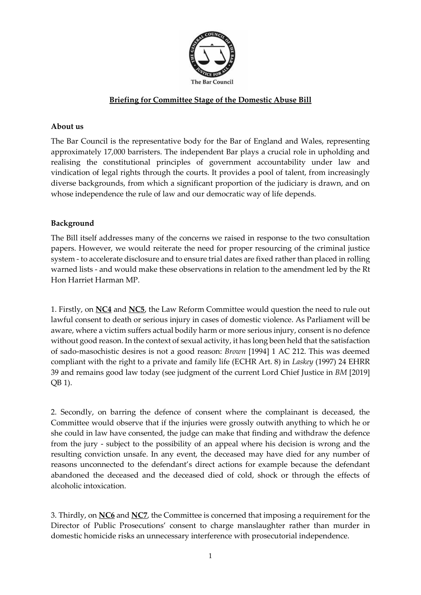

## **Briefing for Committee Stage of the Domestic Abuse Bill**

## **About us**

The Bar Council is the representative body for the Bar of England and Wales, representing approximately 17,000 barristers. The independent Bar plays a crucial role in upholding and realising the constitutional principles of government accountability under law and vindication of legal rights through the courts. It provides a pool of talent, from increasingly diverse backgrounds, from which a significant proportion of the judiciary is drawn, and on whose independence the rule of law and our democratic way of life depends.

## **Background**

The Bill itself addresses many of the concerns we raised in response to the two consultation papers. However, we would reiterate the need for proper resourcing of the criminal justice system - to accelerate disclosure and to ensure trial dates are fixed rather than placed in rolling warned lists - and would make these observations in relation to the amendment led by the Rt Hon Harriet Harman MP.

1. Firstly, on **NC4** and **NC5**, the Law Reform Committee would question the need to rule out lawful consent to death or serious injury in cases of domestic violence. As Parliament will be aware, where a victim suffers actual bodily harm or more serious injury, consent is no defence without good reason. In the context of sexual activity, it has long been held that the satisfaction of sado-masochistic desires is not a good reason: *Brown* [1994] 1 AC 212. This was deemed compliant with the right to a private and family life (ECHR Art. 8) in *Laskey* (1997) 24 EHRR 39 and remains good law today (see judgment of the current Lord Chief Justice in *BM* [2019] QB 1).

2. Secondly, on barring the defence of consent where the complainant is deceased, the Committee would observe that if the injuries were grossly outwith anything to which he or she could in law have consented, the judge can make that finding and withdraw the defence from the jury - subject to the possibility of an appeal where his decision is wrong and the resulting conviction unsafe. In any event, the deceased may have died for any number of reasons unconnected to the defendant's direct actions for example because the defendant abandoned the deceased and the deceased died of cold, shock or through the effects of alcoholic intoxication.

3. Thirdly, on **NC6** and **NC7**, the Committee is concerned that imposing a requirement for the Director of Public Prosecutions' consent to charge manslaughter rather than murder in domestic homicide risks an unnecessary interference with prosecutorial independence.